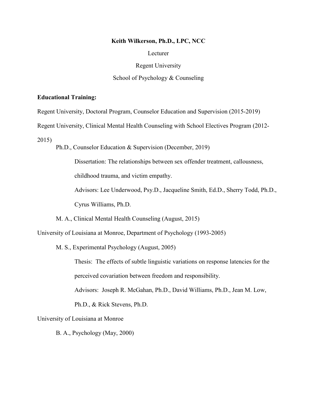#### **Keith Wilkerson, Ph.D., LPC, NCC**

Lecturer

Regent University

#### School of Psychology & Counseling

#### **Educational Training:**

Regent University, Doctoral Program, Counselor Education and Supervision (2015-2019)

Regent University, Clinical Mental Health Counseling with School Electives Program (2012-

2015)

Ph.D., Counselor Education & Supervision (December, 2019)

Dissertation: The relationships between sex offender treatment, callousness,

childhood trauma, and victim empathy.

Advisors: Lee Underwood, Psy.D., Jacqueline Smith, Ed.D., Sherry Todd, Ph.D.,

Cyrus Williams, Ph.D.

M. A., Clinical Mental Health Counseling (August, 2015)

University of Louisiana at Monroe, Department of Psychology (1993-2005)

M. S., Experimental Psychology (August, 2005)

Thesis: The effects of subtle linguistic variations on response latencies for the perceived covariation between freedom and responsibility.

Advisors: Joseph R. McGahan, Ph.D., David Williams, Ph.D., Jean M. Low,

Ph.D., & Rick Stevens, Ph.D.

University of Louisiana at Monroe

B. A., Psychology (May, 2000)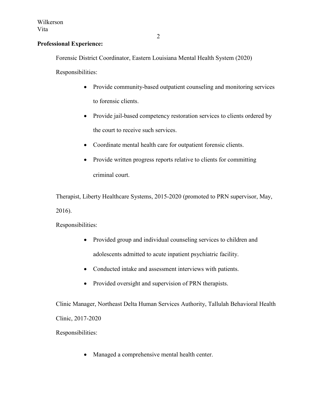# **Professional Experience:**

Forensic District Coordinator, Eastern Louisiana Mental Health System (2020)

Responsibilities:

- Provide community-based outpatient counseling and monitoring services to forensic clients.
- Provide jail-based competency restoration services to clients ordered by the court to receive such services.
- Coordinate mental health care for outpatient forensic clients.
- Provide written progress reports relative to clients for committing criminal court.

Therapist, Liberty Healthcare Systems, 2015-2020 (promoted to PRN supervisor, May, 2016).

Responsibilities:

- Provided group and individual counseling services to children and adolescents admitted to acute inpatient psychiatric facility.
- Conducted intake and assessment interviews with patients.
- Provided oversight and supervision of PRN therapists.

Clinic Manager, Northeast Delta Human Services Authority, Tallulah Behavioral Health Clinic, 2017-2020

Responsibilities:

• Managed a comprehensive mental health center.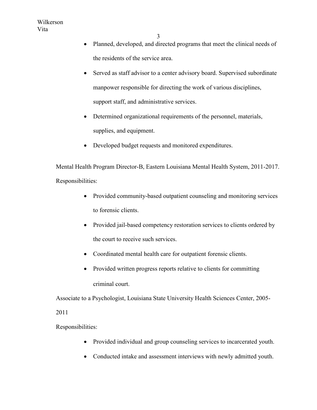- Planned, developed, and directed programs that meet the clinical needs of the residents of the service area.
- Served as staff advisor to a center advisory board. Supervised subordinate manpower responsible for directing the work of various disciplines, support staff, and administrative services.
- Determined organizational requirements of the personnel, materials, supplies, and equipment.
- Developed budget requests and monitored expenditures.

Mental Health Program Director-B, Eastern Louisiana Mental Health System, 2011-2017. Responsibilities:

- Provided community-based outpatient counseling and monitoring services to forensic clients.
- Provided jail-based competency restoration services to clients ordered by the court to receive such services.
- Coordinated mental health care for outpatient forensic clients.
- Provided written progress reports relative to clients for committing criminal court.

Associate to a Psychologist, Louisiana State University Health Sciences Center, 2005-

## 2011

Responsibilities:

- Provided individual and group counseling services to incarcerated youth.
- Conducted intake and assessment interviews with newly admitted youth.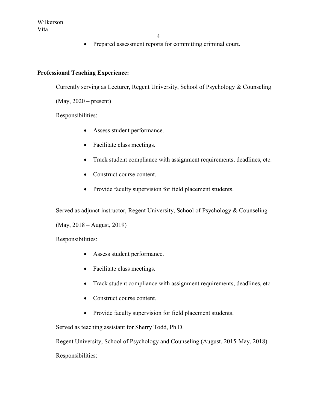• Prepared assessment reports for committing criminal court.

# **Professional Teaching Experience:**

Currently serving as Lecturer, Regent University, School of Psychology & Counseling

(May, 2020 – present)

Responsibilities:

- Assess student performance.
- Facilitate class meetings.
- Track student compliance with assignment requirements, deadlines, etc.
- Construct course content.
- Provide faculty supervision for field placement students.

Served as adjunct instructor, Regent University, School of Psychology & Counseling

(May, 2018 – August, 2019)

Responsibilities:

- Assess student performance.
- Facilitate class meetings.
- Track student compliance with assignment requirements, deadlines, etc.
- Construct course content.
- Provide faculty supervision for field placement students.

Served as teaching assistant for Sherry Todd, Ph.D.

Regent University, School of Psychology and Counseling (August, 2015-May, 2018) Responsibilities: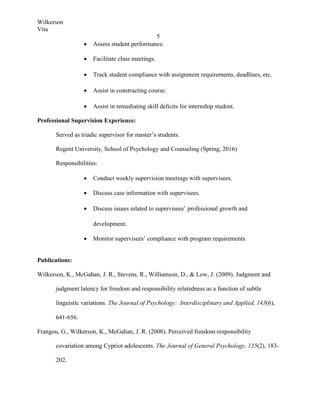- Assess student performance.
- Facilitate class meetings.
- Track student compliance with assignment requirements, deadlines, etc.
- Assist in constructing course.
- Assist in remediating skill deficits for internship student.

## **Professional Supervision Experience:**

Served as triadic supervisor for master's students.

Regent University, School of Psychology and Counseling (Spring, 2016)

Responsibilities:

- Conduct weekly supervision meetings with supervisees.
- Discuss case information with supervisees.
- Discuss issues related to supervisees' professional growth and development.
- Monitor supervisees' compliance with program requirements.

## **Publications:**

- Wilkerson, K., McGahan, J. R., Stevens, R., Williamson, D., & Low, J. (2009). Judgment and judgment latency for freedom and responsibility relatedness as a function of subtle linguistic variations. *The Journal of Psychology: Interdisciplinary and Applied, 143*(6), 641-656.
- Frangou, G., Wilkerson, K., McGahan, J. R. (2008). Perceived freedom-responsibility covariation among Cypriot adolescents. *The Journal of General Psychology, 135*(2), 183- 202.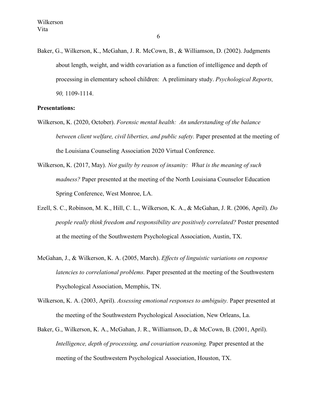Baker, G., Wilkerson, K., McGahan, J. R. McCown, B., & Williamson, D. (2002). Judgments about length, weight, and width covariation as a function of intelligence and depth of processing in elementary school children: A preliminary study. *Psychological Reports, 90,* 1109-1114.

#### **Presentations:**

- Wilkerson, K. (2020, October). *Forensic mental health: An understanding of the balance between client welfare, civil liberties, and public safety.* Paper presented at the meeting of the Louisiana Counseling Association 2020 Virtual Conference.
- Wilkerson, K. (2017, May). *Not guilty by reason of insanity: What is the meaning of such madness?* Paper presented at the meeting of the North Louisiana Counselor Education Spring Conference, West Monroe, LA.
- Ezell, S. C., Robinson, M. K., Hill, C. L., Wilkerson, K. A., & McGahan, J. R. (2006, April). *Do people really think freedom and responsibility are positively correlated?* Poster presented at the meeting of the Southwestern Psychological Association, Austin, TX.
- McGahan, J., & Wilkerson, K. A. (2005, March). *Effects of linguistic variations on response latencies to correlational problems.* Paper presented at the meeting of the Southwestern Psychological Association, Memphis, TN.
- Wilkerson, K. A. (2003, April). *Assessing emotional responses to ambiguity.* Paper presented at the meeting of the Southwestern Psychological Association, New Orleans, La.
- Baker, G., Wilkerson, K. A., McGahan, J. R., Williamson, D., & McCown, B. (2001, April). *Intelligence, depth of processing, and covariation reasoning.* Paper presented at the meeting of the Southwestern Psychological Association, Houston, TX.